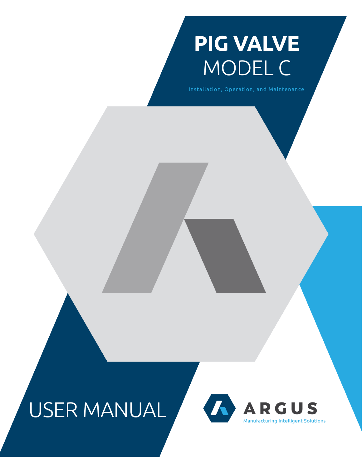# **PIG VALVE** MODEL C

Installation, Operation, and Maintenance

## USER MANUAL

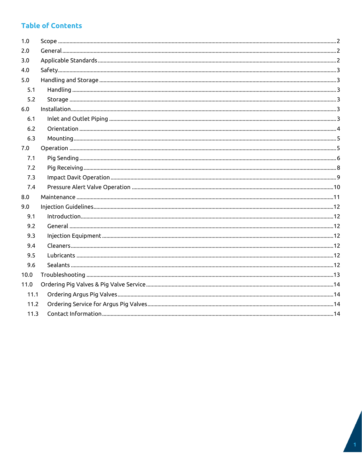## **Table of Contents**

| 1.0  |  |
|------|--|
| 2.0  |  |
| 3.0  |  |
| 4.0  |  |
| 5.0  |  |
| 5.1  |  |
| 5.2  |  |
| 6.0  |  |
| 6.1  |  |
| 6.2  |  |
| 6.3  |  |
| 7.0  |  |
| 7.1  |  |
| 7.2  |  |
| 7.3  |  |
| 7.4  |  |
| 8.0  |  |
| 9.0  |  |
| 9.1  |  |
| 9.2  |  |
| 9.3  |  |
| 9.4  |  |
| 9.5  |  |
| 9.6  |  |
| 10.0 |  |
| 11.0 |  |
| 11.1 |  |
| 11.2 |  |
| 11.3 |  |
|      |  |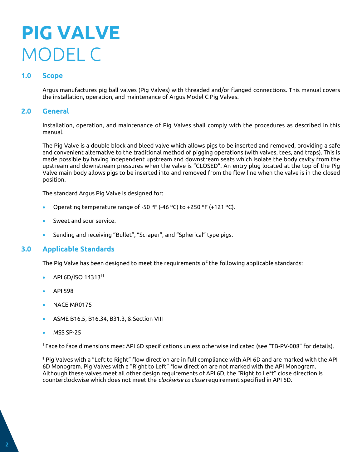## **PIG VALVE** MODEL C

## <span id="page-2-0"></span>**1.0 Scope**

Argus manufactures pig ball valves (Pig Valves) with threaded and/or flanged connections. This manual covers the installation, operation, and maintenance of Argus Model C Pig Valves.

### <span id="page-2-1"></span>**2.0 General**

Installation, operation, and maintenance of Pig Valves shall comply with the procedures as described in this manual.

The Pig Valve is a double block and bleed valve which allows pigs to be inserted and removed, providing a safe and convenient alternative to the traditional method of pigging operations (with valves, tees, and traps). This is made possible by having independent upstream and downstream seats which isolate the body cavity from the upstream and downstream pressures when the valve is "CLOSED". An entry plug located at the top of the Pig Valve main body allows pigs to be inserted into and removed from the flow line when the valve is in the closed position.

The standard Argus Pig Valve is designed for:

- Operating temperature range of -50 ºF (-46 ºC) to +250 ºF (+121 ºC).
- Sweet and sour service.
- Sending and receiving "Bullet", "Scraper", and "Spherical" type pigs.

## <span id="page-2-2"></span>**3.0 Applicable Standards**

The Pig Valve has been designed to meet the requirements of the following applicable standards:

- API 6D/ISO 14313†‡
- API 598
- NACE MR0175
- ASME B16.5, B16.34, B31.3, & Section VIII
- MSS SP-25

† Face to face dimensions meet API 6D specifications unless otherwise indicated (see "TB-PV-008" for details).

‡ Pig Valves with a "Left to Right" flow direction are in full compliance with API 6D and are marked with the API 6D Monogram. Pig Valves with a "Right to Left" flow direction are not marked with the API Monogram. Although these valves meet all other design requirements of API 6D, the "Right to Left" close direction is counterclockwise which does not meet the *clockwise to close* requirement specified in API 6D.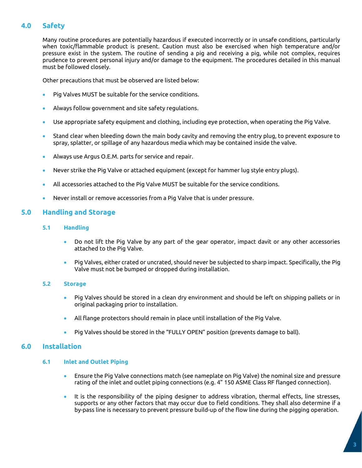## <span id="page-3-0"></span>**4.0 Safety**

Many routine procedures are potentially hazardous if executed incorrectly or in unsafe conditions, particularly when toxic/flammable product is present. Caution must also be exercised when high temperature and/or pressure exist in the system. The routine of sending a pig and receiving a pig, while not complex, requires prudence to prevent personal injury and/or damage to the equipment. The procedures detailed in this manual must be followed closely.

Other precautions that must be observed are listed below:

- Pig Valves MUST be suitable for the service conditions.
- Always follow government and site safety regulations.
- Use appropriate safety equipment and clothing, including eye protection, when operating the Pig Valve.
- Stand clear when bleeding down the main body cavity and removing the entry plug, to prevent exposure to spray, splatter, or spillage of any hazardous media which may be contained inside the valve.
- Always use Argus O.E.M. parts for service and repair.
- Never strike the Pig Valve or attached equipment (except for hammer lug style entry plugs).
- All accessories attached to the Pig Valve MUST be suitable for the service conditions.
- Never install or remove accessories from a Pig Valve that is under pressure.

## <span id="page-3-2"></span><span id="page-3-1"></span>**5.0 Handling and Storage**

- **5.1 Handling**
	- Do not lift the Pig Valve by any part of the gear operator, impact davit or any other accessories attached to the Pig Valve.
	- Pig Valves, either crated or uncrated, should never be subjected to sharp impact. Specifically, the Pig Valve must not be bumped or dropped during installation.

#### <span id="page-3-3"></span>**5.2 Storage**

- Pig Valves should be stored in a clean dry environment and should be left on shipping pallets or in original packaging prior to installation.
- All flange protectors should remain in place until installation of the Pig Valve.
- Pig Valves should be stored in the "FULLY OPEN" position (prevents damage to ball).

#### <span id="page-3-5"></span><span id="page-3-4"></span>**6.0 Installation**

#### **6.1 Inlet and Outlet Piping**

- Ensure the Pig Valve connections match (see nameplate on Pig Valve) the nominal size and pressure rating of the inlet and outlet piping connections (e.g. 4" 150 ASME Class RF flanged connection).
- It is the responsibility of the piping designer to address vibration, thermal effects, line stresses, supports or any other factors that may occur due to field conditions. They shall also determine if a by-pass line is necessary to prevent pressure build-up of the flow line during the pigging operation.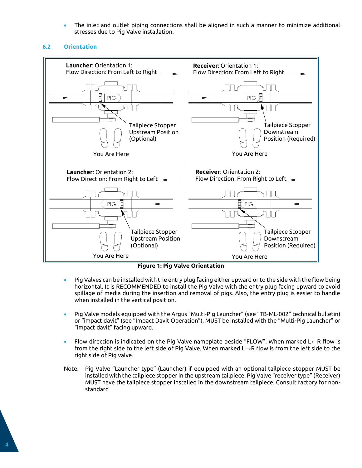• The inlet and outlet piping connections shall be aligned in such a manner to minimize additional stresses due to Pig Valve installation.

#### <span id="page-4-0"></span>**6.2 Orientation**



**Figure 1: Pig Valve Orientation**

- Pig Valves can be installed with the entry plug facing either upward or to the side with the flow being horizontal. It is RECOMMENDED to install the Pig Valve with the entry plug facing upward to avoid spillage of media during the insertion and removal of pigs. Also, the entry plug is easier to handle when installed in the vertical position.
- Pig Valve models equipped with the Argus "Multi-Pig Launcher" (see "TB-ML-002" technical bulletin) or "impact davit" (see "Impact Davit Operation"), MUST be installed with the "Multi-Pig Launcher" or "impact davit" facing upward.
- Flow direction is indicated on the Pig Valve nameplate beside "FLOW". When marked L←R flow is from the right side to the left side of Pig Valve. When marked L→R flow is from the left side to the right side of Pig valve.
- Note: Pig Valve "Launcher type" (Launcher) if equipped with an optional tailpiece stopper MUST be installed with the tailpiece stopper in the upstream tailpiece. Pig Valve "receiver type" (Receiver) MUST have the tailpiece stopper installed in the downstream tailpiece. Consult factory for nonstandard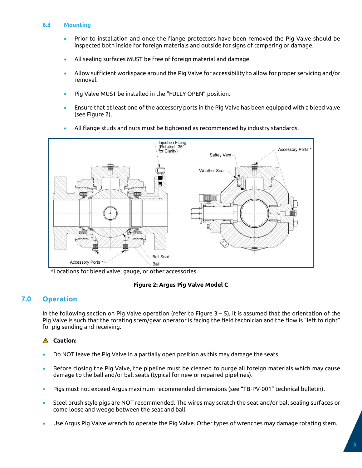#### <span id="page-5-0"></span>**6.3 Mounting**

- Prior to installation and once the flange protectors have been removed the Pig Valve should be inspected both inside for foreign materials and outside for signs of tampering or damage.
- All sealing surfaces MUST be free of foreign material and damage.
- Allow sufficient workspace around the Pig Valve for accessibility to allow for proper servicing and/or removal.
- Pig Valve MUST be installed in the "FULLY OPEN" position.
- Ensure that at least one of the accessory ports in the Pig Valve has been equipped with a bleed valve (see Figure 2).
- All flange studs and nuts must be tightened as recommended by industry standards. Injection Fitting<br>(Rotated 135°



\*Locations for bleed valve, gauge, or other accessories.

#### **Figure 2: Argus Pig Valve Model C**

## <span id="page-5-1"></span>**7.0 Operation**

In the following section on Pig Valve operation (refer to Figure 3 – 5), it is assumed that the orientation of the Pig Valve is such that the rotating stem/gear operator is facing the field technician and the flow is "left to right" for pig sending and receiving.

#### **Caution:**

- Do NOT leave the Pig Valve in a partially open position as this may damage the seats.
- Before closing the Pig Valve, the pipeline must be cleaned to purge all foreign materials which may cause damage to the ball and/or ball seats (typical for new or repaired pipelines).
- Pigs must not exceed Argus maximum recommended dimensions (see "TB-PV-001" technical bulletin).
- Steel brush style pigs are NOT recommended. The wires may scratch the seat and/or ball sealing surfaces or come loose and wedge between the seat and ball.
- Use Argus Pig Valve wrench to operate the Pig Valve. Other types of wrenches may damage rotating stem.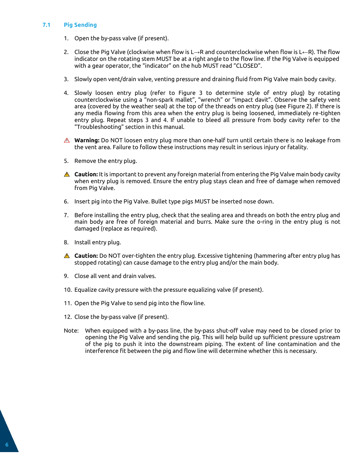#### <span id="page-6-0"></span>**7.1 Pig Sending**

- 1. Open the by-pass valve (if present).
- 2. Close the Pig Valve (clockwise when flow is L→R and counterclockwise when flow is L←R). The flow indicator on the rotating stem MUST be at a right angle to the flow line. If the Pig Valve is equipped with a gear operator, the "indicator" on the hub MUST read "CLOSED".
- 3. Slowly open vent/drain valve, venting pressure and draining fluid from Pig Valve main body cavity.
- 4. Slowly loosen entry plug (refer to Figure 3 to determine style of entry plug) by rotating counterclockwise using a "non-spark mallet", "wrench" or "impact davit". Observe the safety vent area (covered by the weather seal) at the top of the threads on entry plug (see Figure 2). If there is any media flowing from this area when the entry plug is being loosened, immediately re-tighten entry plug. Repeat steps 3 and 4. If unable to bleed all pressure from body cavity refer to the "Troubleshooting" section in this manual.
- **Warning:** Do NOT loosen entry plug more than one-half turn until certain there is no leakage from the vent area. Failure to follow these instructions may result in serious injury or fatality.
- 5. Remove the entry plug.
- **Caution:** It is important to prevent any foreign material from entering the Pig Valve main body cavity when entry plug is removed. Ensure the entry plug stays clean and free of damage when removed from Pig Valve.
- 6. Insert pig into the Pig Valve. Bullet type pigs MUST be inserted nose down.
- 7. Before installing the entry plug, check that the sealing area and threads on both the entry plug and main body are free of foreign material and burrs. Make sure the o-ring in the entry plug is not damaged (replace as required).
- 8. Install entry plug.
- **Caution:** Do NOT over-tighten the entry plug. Excessive tightening (hammering after entry plug has stopped rotating) can cause damage to the entry plug and/or the main body.
- 9. Close all vent and drain valves.
- 10. Equalize cavity pressure with the pressure equalizing valve (if present).
- 11. Open the Pig Valve to send pig into the flow line.
- 12. Close the by-pass valve (if present).
- Note: When equipped with a by-pass line, the by-pass shut-off valve may need to be closed prior to opening the Pig Valve and sending the pig. This will help build up sufficient pressure upstream of the pig to push it into the downstream piping. The extent of line contamination and the interference fit between the pig and flow line will determine whether this is necessary.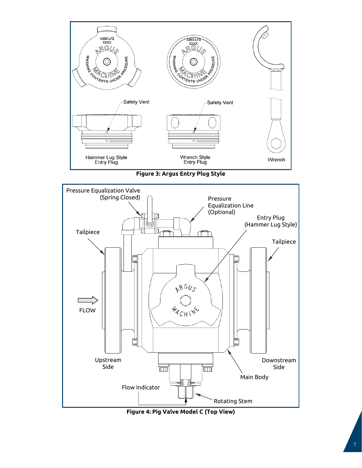





**Figure 4: Pig Valve Model C (Top View)**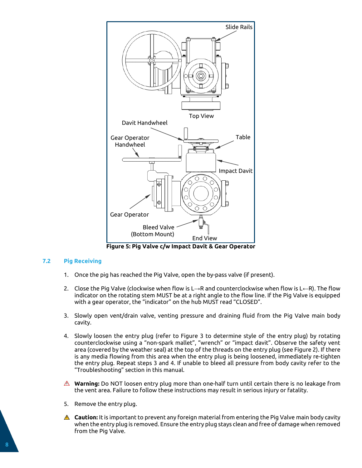

**Figure 5: Pig Valve c/w Impact Davit & Gear Operator**

#### <span id="page-8-0"></span>**7.2 Pig Receiving**

- 1. Once the pig has reached the Pig Valve, open the by-pass valve (if present).
- 2. Close the Pig Valve (clockwise when flow is L→R and counterclockwise when flow is L←R). The flow indicator on the rotating stem MUST be at a right angle to the flow line. If the Pig Valve is equipped with a gear operator, the "indicator" on the hub MUST read "CLOSED".
- 3. Slowly open vent/drain valve, venting pressure and draining fluid from the Pig Valve main body cavity.
- 4. Slowly loosen the entry plug (refer to Figure 3 to determine style of the entry plug) by rotating counterclockwise using a "non-spark mallet", "wrench" or "impact davit". Observe the safety vent area (covered by the weather seal) at the top of the threads on the entry plug (see Figure 2). If there is any media flowing from this area when the entry plug is being loosened, immediately re-tighten the entry plug. Repeat steps 3 and 4. If unable to bleed all pressure from body cavity refer to the "Troubleshooting" section in this manual.
- **Warning:** Do NOT loosen entry plug more than one-half turn until certain there is no leakage from the vent area. Failure to follow these instructions may result in serious injury or fatality.
- 5. Remove the entry plug.
- **Caution:** It is important to prevent any foreign material from entering the Pig Valve main body cavity when the entry plug is removed. Ensure the entry plug stays clean and free of damage when removed from the Pig Valve.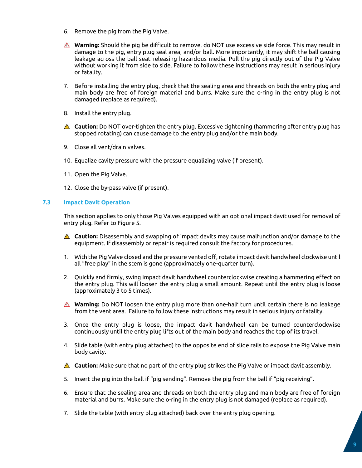- 6. Remove the pig from the Pig Valve.
- **Warning:** Should the pig be difficult to remove, do NOT use excessive side force. This may result in damage to the pig, entry plug seal area, and/or ball. More importantly, it may shift the ball causing leakage across the ball seat releasing hazardous media. Pull the pig directly out of the Pig Valve without working it from side to side. Failure to follow these instructions may result in serious injury or fatality.
- 7. Before installing the entry plug, check that the sealing area and threads on both the entry plug and main body are free of foreign material and burrs. Make sure the o-ring in the entry plug is not damaged (replace as required).
- 8. Install the entry plug.
- **Caution:** Do NOT over-tighten the entry plug. Excessive tightening (hammering after entry plug has stopped rotating) can cause damage to the entry plug and/or the main body.
- 9. Close all vent/drain valves.
- 10. Equalize cavity pressure with the pressure equalizing valve (if present).
- 11. Open the Pig Valve.
- 12. Close the by-pass valve (if present).

#### <span id="page-9-0"></span>**7.3 Impact Davit Operation**

This section applies to only those Pig Valves equipped with an optional impact davit used for removal of entry plug. Refer to Figure 5.

- **Caution:** Disassembly and swapping of impact davits may cause malfunction and/or damage to the equipment. If disassembly or repair is required consult the factory for procedures.
- 1. With the Pig Valve closed and the pressure vented off, rotate impact davit handwheel clockwise until all "free play" in the stem is gone (approximately one-quarter turn).
- 2. Quickly and firmly, swing impact davit handwheel counterclockwise creating a hammering effect on the entry plug. This will loosen the entry plug a small amount. Repeat until the entry plug is loose (approximately 3 to 5 times).
- **Warning:** Do NOT loosen the entry plug more than one-half turn until certain there is no leakage from the vent area. Failure to follow these instructions may result in serious injury or fatality.
- 3. Once the entry plug is loose, the impact davit handwheel can be turned counterclockwise continuously until the entry plug lifts out of the main body and reaches the top of its travel.
- 4. Slide table (with entry plug attached) to the opposite end of slide rails to expose the Pig Valve main body cavity.
- **Caution:** Make sure that no part of the entry plug strikes the Pig Valve or impact davit assembly.
- 5. Insert the pig into the ball if "pig sending". Remove the pig from the ball if "pig receiving".
- 6. Ensure that the sealing area and threads on both the entry plug and main body are free of foreign material and burrs. Make sure the o-ring in the entry plug is not damaged (replace as required).
- 7. Slide the table (with entry plug attached) back over the entry plug opening.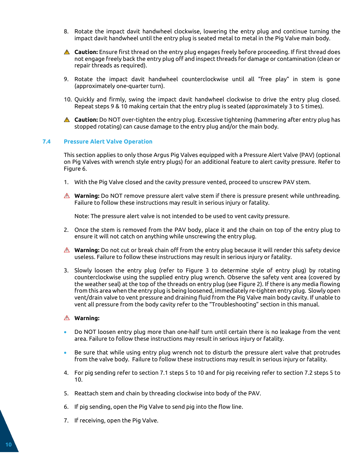- 8. Rotate the impact davit handwheel clockwise, lowering the entry plug and continue turning the impact davit handwheel until the entry plug is seated metal to metal in the Pig Valve main body.
- **Caution:** Ensure first thread on the entry plug engages freely before proceeding. If first thread does not engage freely back the entry plug off and inspect threads for damage or contamination (clean or repair threads as required).
- 9. Rotate the impact davit handwheel counterclockwise until all "free play" in stem is gone (approximately one-quarter turn).
- 10. Quickly and firmly, swing the impact davit handwheel clockwise to drive the entry plug closed. Repeat steps 9 & 10 making certain that the entry plug is seated (approximately 3 to 5 times).
- **Caution:** Do NOT over-tighten the entry plug. Excessive tightening (hammering after entry plug has stopped rotating) can cause damage to the entry plug and/or the main body.

#### <span id="page-10-0"></span>**7.4 Pressure Alert Valve Operation**

This section applies to only those Argus Pig Valves equipped with a Pressure Alert Valve (PAV) (optional on Pig Valves with wrench style entry plugs) for an additional feature to alert cavity pressure. Refer to Figure 6.

- 1. With the Pig Valve closed and the cavity pressure vented, proceed to unscrew PAV stem.
- **Warning:** Do NOT remove pressure alert valve stem if there is pressure present while unthreading. Failure to follow these instructions may result in serious injury or fatality.

Note: The pressure alert valve is not intended to be used to vent cavity pressure.

- 2. Once the stem is removed from the PAV body, place it and the chain on top of the entry plug to ensure it will not catch on anything while unscrewing the entry plug.
- **A** Warning: Do not cut or break chain off from the entry plug because it will render this safety device useless. Failure to follow these instructions may result in serious injury or fatality.
- 3. Slowly loosen the entry plug (refer to Figure 3 to determine style of entry plug) by rotating counterclockwise using the supplied entry plug wrench. Observe the safety vent area (covered by the weather seal) at the top of the threads on entry plug (see Figure 2). If there is any media flowing from this area when the entry plug is being loosened, immediately re-tighten entry plug. Slowly open vent/drain valve to vent pressure and draining fluid from the Pig Valve main body cavity. If unable to vent all pressure from the body cavity refer to the "Troubleshooting" section in this manual.

#### **Warning:**

- Do NOT loosen entry plug more than one-half turn until certain there is no leakage from the vent area. Failure to follow these instructions may result in serious injury or fatality.
- Be sure that while using entry plug wrench not to disturb the pressure alert valve that protrudes from the valve body. Failure to follow these instructions may result in serious injury or fatality.
- 4. For pig sending refer to section 7.1 steps 5 to 10 and for pig receiving refer to section 7.2 steps 5 to 10.
- 5. Reattach stem and chain by threading clockwise into body of the PAV.
- 6. If pig sending, open the Pig Valve to send pig into the flow line.
- 7. If receiving, open the Pig Valve.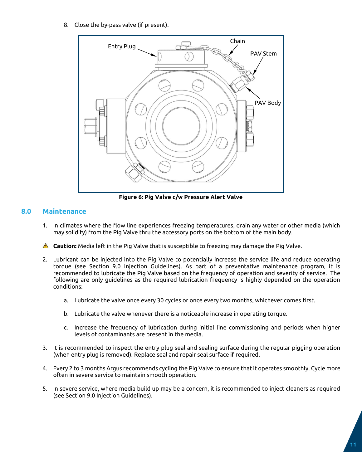8. Close the by-pass valve (if present).



**Figure 6: Pig Valve c/w Pressure Alert Valve**

### <span id="page-11-0"></span>**8.0 Maintenance**

- 1. In climates where the flow line experiences freezing temperatures, drain any water or other media (which may solidify) from the Pig Valve thru the accessory ports on the bottom of the main body.
- **Caution:** Media left in the Pig Valve that is susceptible to freezing may damage the Pig Valve.
- 2. Lubricant can be injected into the Pig Valve to potentially increase the service life and reduce operating torque (see Section 9.0 Injection Guidelines). As part of a preventative maintenance program, it is recommended to lubricate the Pig Valve based on the frequency of operation and severity of service. The following are only guidelines as the required lubrication frequency is highly depended on the operation conditions:
	- a. Lubricate the valve once every 30 cycles or once every two months, whichever comes first.
	- b. Lubricate the valve whenever there is a noticeable increase in operating torque.
	- c. Increase the frequency of lubrication during initial line commissioning and periods when higher levels of contaminants are present in the media.
- 3. It is recommended to inspect the entry plug seal and sealing surface during the regular pigging operation (when entry plug is removed). Replace seal and repair seal surface if required.
- 4. Every 2 to 3 months Argus recommends cycling the Pig Valve to ensure that it operates smoothly. Cycle more often in severe service to maintain smooth operation.
- 5. In severe service, where media build up may be a concern, it is recommended to inject cleaners as required (see Section 9.0 Injection Guidelines).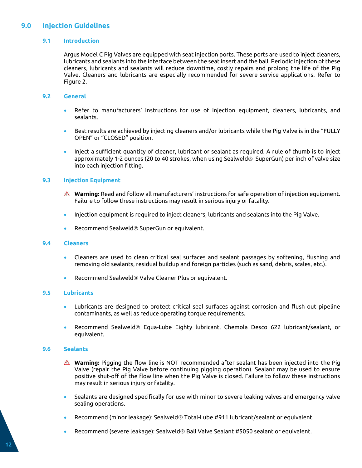## <span id="page-12-1"></span><span id="page-12-0"></span>**9.0 Injection Guidelines**

#### **9.1 Introduction**

Argus Model C Pig Valves are equipped with seat injection ports. These ports are used to inject cleaners, lubricants and sealants into the interface between the seat insert and the ball. Periodic injection of these cleaners, lubricants and sealants will reduce downtime, costly repairs and prolong the life of the Pig Valve. Cleaners and lubricants are especially recommended for severe service applications. Refer to Figure 2.

#### <span id="page-12-2"></span>**9.2 General**

- Refer to manufacturers' instructions for use of injection equipment, cleaners, lubricants, and sealants.
- Best results are achieved by injecting cleaners and/or lubricants while the Pig Valve is in the "FULLY OPEN" or "CLOSED" position.
- Inject a sufficient quantity of cleaner, lubricant or sealant as required. A rule of thumb is to inject approximately 1-2 ounces (20 to 40 strokes, when using Sealweld $\circledast$  SuperGun) per inch of valve size into each injection fitting.

#### <span id="page-12-3"></span>**9.3 Injection Equipment**

- **Warning:** Read and follow all manufacturers' instructions for safe operation of injection equipment. Failure to follow these instructions may result in serious injury or fatality.
- Injection equipment is required to inject cleaners, lubricants and sealants into the Pig Valve.
- Recommend Sealweld® SuperGun or equivalent.

#### <span id="page-12-4"></span>**9.4 Cleaners**

- Cleaners are used to clean critical seal surfaces and sealant passages by softening, flushing and removing old sealants, residual buildup and foreign particles (such as sand, debris, scales, etc.).
- Recommend Sealweld<sup>®</sup> Valve Cleaner Plus or equivalent.

#### <span id="page-12-5"></span>**9.5 Lubricants**

- Lubricants are designed to protect critical seal surfaces against corrosion and flush out pipeline contaminants, as well as reduce operating torque requirements.
- Recommend Sealweld® Equa-Lube Eighty lubricant, Chemola Desco 622 lubricant/sealant, or equivalent.

#### <span id="page-12-6"></span>**9.6 Sealants**

- **Warning:** Pigging the flow line is NOT recommended after sealant has been injected into the Pig Valve (repair the Pig Valve before continuing pigging operation). Sealant may be used to ensure positive shut-off of the flow line when the Pig Valve is closed. Failure to follow these instructions may result in serious injury or fatality.
- Sealants are designed specifically for use with minor to severe leaking valves and emergency valve sealing operations.
- Recommend (minor leakage): Sealweld ® Total-Lube #911 lubricant/sealant or equivalent.
- Recommend (severe leakage): Sealweld $\circledast$  Ball Valve Sealant #5050 sealant or equivalent.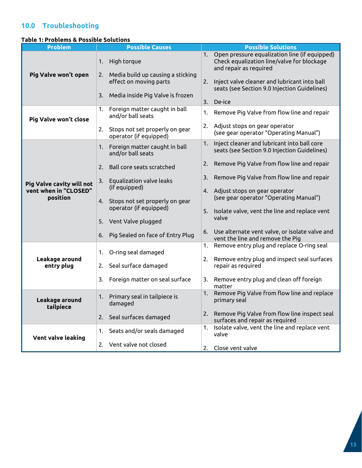## <span id="page-13-0"></span>**10.0 Troubleshooting**

#### **Table 1: Problems & Possible Solutions**

| <b>Problem</b>                    | <b>Possible Causes</b>                                            | <b>Possible Solutions</b>                                                                                                   |
|-----------------------------------|-------------------------------------------------------------------|-----------------------------------------------------------------------------------------------------------------------------|
|                                   | High torque<br>1.                                                 | Open pressure equalization line (if equipped)<br>1.<br>Check equalization line/valve for blockage<br>and repair as required |
| Pig Valve won't open              | Media build up causing a sticking<br>2.<br>effect on moving parts | 2.<br>Inject valve cleaner and lubricant into ball<br>seats (see Section 9.0 Injection Guidelines)                          |
|                                   | Media inside Pig Valve is frozen<br>3.                            | 3.<br>De-ice                                                                                                                |
| Pig Valve won't close             | Foreign matter caught in ball<br>1.<br>and/or ball seats          | Remove Pig Valve from flow line and repair<br>1.                                                                            |
|                                   | Stops not set properly on gear<br>2.<br>operator (if equipped)    | 2. Adjust stops on gear operator<br>(see gear operator "Operating Manual")                                                  |
|                                   | Foreign matter caught in ball<br>1.<br>and/or ball seats          | Inject cleaner and lubricant into ball core<br>1.<br>seats (see Section 9.0 Injection Guidelines)                           |
|                                   | Ball core seats scratched<br>2.                                   | Remove Pig Valve from flow line and repair<br>2.                                                                            |
| <b>Pig Valve cavity will not</b>  | Equalization valve leaks<br>3.<br>(if equipped)                   | Remove Pig Valve from flow line and repair<br>3.                                                                            |
| vent when in "CLOSED"<br>position | Stops not set properly on gear<br>4.                              | 4. Adjust stops on gear operator<br>(see gear operator "Operating Manual")                                                  |
|                                   | operator (if equipped)                                            | 5. Isolate valve, vent the line and replace vent<br>valve                                                                   |
|                                   | Vent Valve plugged<br>5.                                          |                                                                                                                             |
|                                   | Pig Sealed on face of Entry Plug<br>6.                            | Use alternate vent valve, or isolate valve and<br>6.<br>vent the line and remove the Pig                                    |
|                                   | O-ring seal damaged<br>1.                                         | Remove entry plug and replace O-ring seal<br>1.                                                                             |
| Leakage around<br>entry plug      | Seal surface damaged<br>2.                                        | Remove entry plug and inspect seal surfaces<br>2.<br>repair as required                                                     |
|                                   | Foreign matter on seal surface<br>3.                              | Remove entry plug and clean off foreign<br>3.<br>matter                                                                     |
| Leakage around<br>tailpiece       | Primary seal in tailpiece is<br>1.<br>damaged                     | Remove Pig Valve from flow line and replace<br>1.<br>primary seal                                                           |
|                                   | Seal surfaces damaged<br>2.                                       | Remove Pig Valve from flow line inspect seal<br>2.<br>surfaces and repair as required                                       |
| Vent valve leaking                | Seats and/or seals damaged<br>1.                                  | Isolate valve, vent the line and replace vent<br>1.<br>valve                                                                |
|                                   | 2. Vent valve not closed                                          | Close vent valve<br>2.                                                                                                      |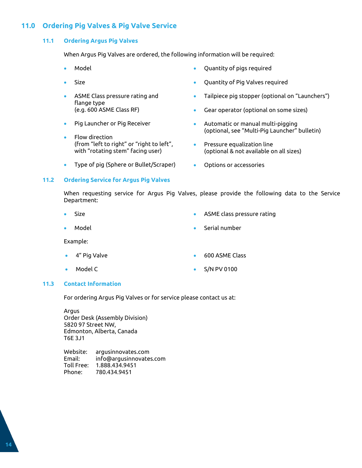## <span id="page-14-1"></span><span id="page-14-0"></span>**11.0 Ordering Pig Valves & Pig Valve Service**

#### **11.1 Ordering Argus Pig Valves**

When Argus Pig Valves are ordered, the following information will be required:

- Model
- Size
- ASME Class pressure rating and flange type (e.g. 600 ASME Class RF)
- Pig Launcher or Pig Receiver
- Flow direction (from "left to right" or "right to left", with "rotating stem" facing user)
- Type of pig (Sphere or Bullet/Scraper)
- Quantity of pigs required
- Quantity of Pig Valves required
- Tailpiece pig stopper (optional on "Launchers")
- Gear operator (optional on some sizes)
- Automatic or manual multi-pigging (optional, see "Multi-Pig Launcher" bulletin)
- Pressure equalization line (optional & not available on all sizes)
- Options or accessories

#### <span id="page-14-2"></span>**11.2 Ordering Service for Argus Pig Valves**

When requesting service for Argus Pig Valves, please provide the following data to the Service Department:

- Size
- Model

• ASME class pressure rating

• Serial number

Example:

- 4" Pig Valve
- Model C
- 600 ASME Class
- S/N PV 0100

#### <span id="page-14-3"></span>**11.3 Contact Information**

For ordering Argus Pig Valves or for service please contact us at:

Argus Order Desk (Assembly Division) 5820 97 Street NW, Edmonton, Alberta, Canada T6E 3J1

Website: argusinnovates.com Email: info@argusinnovates.com Toll Free: 1.888.434.9451 Phone: 780.434.9451